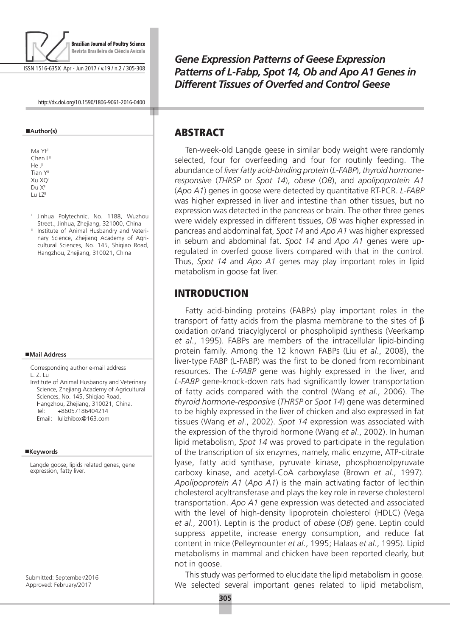

ISSN 1516-635X Apr - Jun 2017 / v.19 / n.2 / 305-308

http://dx.doi.org/10.1590/1806-9061-2016-0400

#### **Author(s)**

- Ma YF Chen L<sup>I</sup>  $H \circ I^{\parallel}$ Tian Y<sup>II</sup> Xu XQ<sup>II</sup>  $Du X<sup>II</sup>$ Lu LZ<sup>II</sup>
- <sup>1</sup> Jinhua Polytechnic, No. 1188, Wuzhou Street., Jinhua, Zhejiang, 321000, China
- <sup>II</sup> Institute of Animal Husbandry and Veterinary Science, Zhejiang Academy of Agricultural Sciences, No. 145, Shiqiao Road, Hangzhou, Zhejiang, 310021, China

#### **Mail Address**

Corresponding author e-mail address L. Z. Lu Institute of Animal Husbandry and Veterinary Science, Zhejiang Academy of Agricultural

Sciences, No. 145, Shiqiao Road, Hangzhou, Zhejiang, 310021, China. Tel: +86057186404214 Email: lulizhibox@163.com

#### **Keywords**

Langde goose, lipids related genes, gene expression, fatty liver.

Submitted: September/2016 Approved: February/2017

*Gene Expression Patterns of Geese Expression Patterns of L-Fabp, Spot 14, Ob and Apo A1 Genes in Different Tissues of Overfed and Control Geese*

#### ABSTRACT

Ten-week-old Langde geese in similar body weight were randomly selected, four for overfeeding and four for routinly feeding. The abundance of *liver fatty acid-binding protein* (*L-FABP*), *thyroid hormoneresponsive* (*THRSP* or *Spot 14*), *obese* (*OB*), and *apolipoprotein A1* (*Apo A1*) genes in goose were detected by quantitative RT-PCR. *L-FABP* was higher expressed in liver and intestine than other tissues, but no expression was detected in the pancreas or brain. The other three genes were widely expressed in different tissues, *OB* was higher expressed in pancreas and abdominal fat, *Spot 14* and *Apo A1* was higher expressed in sebum and abdominal fat. *Spot 14* and *Apo A1* genes were upregulated in overfed goose livers compared with that in the control. Thus, *Spot 14* and *Apo A1* genes may play important roles in lipid metabolism in goose fat liver.

## INTRODUCTION

Fatty acid-binding proteins (FABPs) play important roles in the transport of fatty acids from the plasma membrane to the sites of β oxidation or/and triacylglycerol or phospholipid synthesis (Veerkamp *et al*., 1995). FABPs are members of the intracellular lipid-binding protein family. Among the 12 known FABPs (Liu *et al*., 2008), the liver-type FABP (L-FABP) was the first to be cloned from recombinant resources. The *L-FABP* gene was highly expressed in the liver, and *L-FABP* gene-knock-down rats had significantly lower transportation of fatty acids compared with the control (Wang *et al*., 2006). The *thyroid hormone-responsive* (*THRSP* or *Spot 14*) gene was determined to be highly expressed in the liver of chicken and also expressed in fat tissues (Wang *et al*., 2002). *Spot 14* expression was associated with the expression of the thyroid hormone (Wang *et al*., 2002). In human lipid metabolism, *Spot 14* was proved to participate in the regulation of the transcription of six enzymes, namely, malic enzyme, ATP-citrate lyase, fatty acid synthase, pyruvate kinase, phosphoenolpyruvate carboxy kinase, and acetyl-CoA carboxylase (Brown *et al*., 1997). *Apolipoprotein A1* (*Apo A1*) is the main activating factor of lecithin cholesterol acyltransferase and plays the key role in reverse cholesterol transportation. *Apo A1* gene expression was detected and associated with the level of high-density lipoprotein cholesterol (HDLC) (Vega *et al*., 2001). Leptin is the product of *obese* (*OB*) gene. Leptin could suppress appetite, increase energy consumption, and reduce fat content in mice (Pelleymounter *et al*., 1995; Halaas *et al*., 1995). Lipid metabolisms in mammal and chicken have been reported clearly, but not in goose.

This study was performed to elucidate the lipid metabolism in goose. We selected several important genes related to lipid metabolism,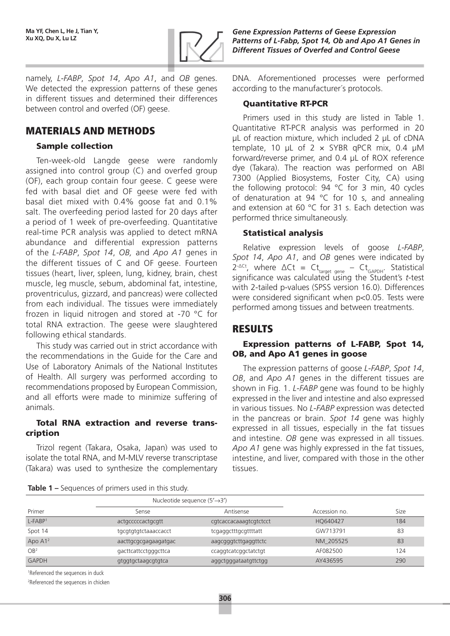

namely, *L-FABP*, *Spot 14*, *Apo A1*, and *OB* genes. We detected the expression patterns of these genes in different tissues and determined their differences between control and overfed (OF) geese.

# MATERIALS AND METHODS

### Sample collection

Ten-week-old Langde geese were randomly assigned into control group (C) and overfed group (OF), each group contain four geese. C geese were fed with basal diet and OF geese were fed with basal diet mixed with 0.4% goose fat and 0.1% salt. The overfeeding period lasted for 20 days after a period of 1 week of pre-overfeeding. Quantitative real-time PCR analysis was applied to detect mRNA abundance and differential expression patterns of the *L-FABP*, *Spot 14*, *OB,* and *Apo A1* genes in the different tissues of C and OF geese. Fourteen tissues (heart, liver, spleen, lung, kidney, brain, chest muscle, leg muscle, sebum, abdominal fat, intestine, proventriculus, gizzard, and pancreas) were collected from each individual. The tissues were immediately frozen in liquid nitrogen and stored at -70 °C for total RNA extraction. The geese were slaughtered following ethical standards.

This study was carried out in strict accordance with the recommendations in the Guide for the Care and Use of Laboratory Animals of the National Institutes of Health. All surgery was performed according to recommendations proposed by European Commission, and all efforts were made to minimize suffering of animals.

### Total RNA extraction and reverse transcription

Trizol regent (Takara, Osaka, Japan) was used to isolate the total RNA, and M-MLV reverse transcriptase (Takara) was used to synthesize the complementary *Gene Expression Patterns of Geese Expression Patterns of L-Fabp, Spot 14, Ob and Apo A1 Genes in Different Tissues of Overfed and Control Geese*

DNA. Aforementioned processes were performed according to the manufacturer´s protocols.

#### Quantitative RT-PCR

Primers used in this study are listed in Table 1. Quantitative RT-PCR analysis was performed in 20 μL of reaction mixture, which included 2 μL of cDNA template, 10  $\mu$ L of 2 x SYBR qPCR mix, 0.4  $\mu$ M forward/reverse primer, and 0.4 μL of ROX reference dye (Takara). The reaction was performed on ABI 7300 (Applied Biosystems, Foster City, CA) using the following protocol: 94 °C for 3 min, 40 cycles of denaturation at 94 °C for 10 s, and annealing and extension at 60 °C for 31 s. Each detection was performed thrice simultaneously.

### Statistical analysis

Relative expression levels of goose *L-FABP*, *Spot 14*, *Apo A1*, and *OB* genes were indicated by 2<sup>-∆Ct</sup>, where  $\Delta Ct = Ct_{\text{target gene}} - Ct_{\text{GAPDH}}$ . Statistical significance was calculated using the Student's *t*-test with 2-tailed p-values (SPSS version 16.0). Differences were considered significant when p<0.05. Tests were performed among tissues and between treatments.

# RESULTS

#### Expression patterns of L-FABP, Spot 14, OB, and Apo A1 genes in goose

The expression patterns of goose *L-FABP*, *Spot 14*, *OB*, and *Apo A1* genes in the different tissues are shown in Fig. 1. *L-FABP* gene was found to be highly expressed in the liver and intestine and also expressed in various tissues. No *L-FABP* expression was detected in the pancreas or brain. *Spot 14* gene was highly expressed in all tissues, especially in the fat tissues and intestine. *OB* gene was expressed in all tissues. *Apo A1* gene was highly expressed in the fat tissues, intestine, and liver, compared with those in the other tissues.

**Table 1 –** Sequences of primers used in this study.

|                        | Nucleotide sequence $(5' \rightarrow 3')$ |                        |               |      |
|------------------------|-------------------------------------------|------------------------|---------------|------|
| Primer                 | Sense                                     | Antisense              | Accession no. | Size |
| $L$ -FABP <sup>1</sup> | actgcccccactgcgtt                         | cgtcaccacaaagtcgtctcct | HQ640427      | 184  |
| Spot 14                | tgcgtgtgtctaaaccacct                      | tcgaggctttgcgttttatt   | GW713791      | 83   |
| Apo $A12$              | aacttgcgcgagaagatgac                      | aagcgggtcttgaggttctc   | NM 205525     | 83   |
| OB <sup>2</sup>        | gacttcattcctgggcttca                      | ccaggtcatcggctatctgt   | AF082500      | 124  |
| <b>GAPDH</b>           | gtggtgctaagcgtgtca                        | aggctgggataatgttctgg   | AY436595      | 290  |

1 Referenced the sequences in duck

2 Referenced the sequences in chicken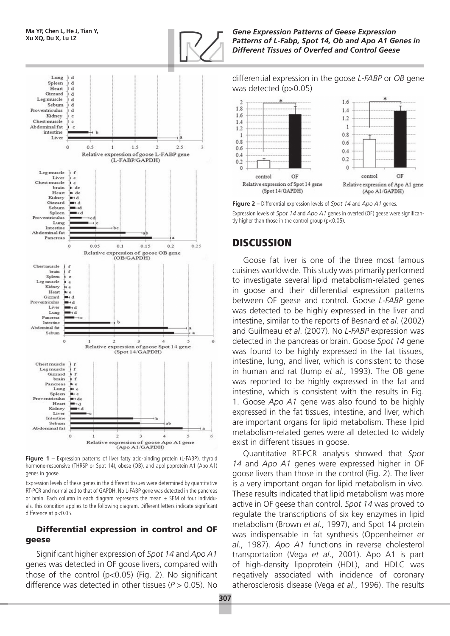

**Figure 1** – Expression patterns of liver fatty acid-binding protein (L-FABP), thyroid hormone-responsive (THRSP or Spot 14), obese (OB), and apolipoprotein A1 (Apo A1) genes in goose.

Expression levels of these genes in the different tissues were determined by quantitative RT-PCR and normalized to that of GAPDH. No L-FABP gene was detected in the pancreas or brain. Each column in each diagram represents the mean  $\pm$  SEM of four individuals. This condition applies to the following diagram. Different letters indicate significant difference at p<0.05.

#### Differential expression in control and OF geese

Significant higher expression of *Spot 14* and *Apo A1* genes was detected in OF goose livers, compared with those of the control (p<0.05) (Fig. 2). No significant difference was detected in other tissues (*P* > 0.05). No *Gene Expression Patterns of Geese Expression Patterns of L-Fabp, Spot 14, Ob and Apo A1 Genes in Different Tissues of Overfed and Control Geese*

differential expression in the goose *L-FABP* or *OB* gene was detected (p>0.05)



**Figure 2** – Differential expression levels of *Spot 14* and *Apo A1* genes. Expression levels of *Spot 14* and *Apo A1* genes in overfed (OF) geese were significantly higher than those in the control group (p<0.05).

# **DISCUSSION**

Goose fat liver is one of the three most famous cuisines worldwide. This study was primarily performed to investigate several lipid metabolism-related genes in goose and their differential expression patterns between OF geese and control. Goose *L-FABP* gene was detected to be highly expressed in the liver and intestine, similar to the reports of Besnard *et al*. (2002) and Guilmeau *et al*. (2007). No *L-FABP* expression was detected in the pancreas or brain. Goose *Spot 14* gene was found to be highly expressed in the fat tissues, intestine, lung, and liver, which is consistent to those in human and rat (Jump *et al*., 1993). The OB gene was reported to be highly expressed in the fat and intestine, which is consistent with the results in Fig. 1. Goose *Apo A1* gene was also found to be highly expressed in the fat tissues, intestine, and liver, which are important organs for lipid metabolism. These lipid metabolism-related genes were all detected to widely exist in different tissues in goose.

Quantitative RT-PCR analysis showed that *Spot 14* and *Apo A1* genes were expressed higher in OF goose livers than those in the control (Fig. 2). The liver is a very important organ for lipid metabolism in vivo. These results indicated that lipid metabolism was more active in OF geese than control. *Spot 14* was proved to regulate the transcriptions of six key enzymes in lipid metabolism (Brown *et al*., 1997), and Spot 14 protein was indispensable in fat synthesis (Oppenheimer *et al*., 1987). *Apo A1* functions in reverse cholesterol transportation (Vega *et al*., 2001). Apo A1 is part of high-density lipoprotein (HDL), and HDLC was negatively associated with incidence of coronary atherosclerosis disease (Vega *et al*., 1996). The results